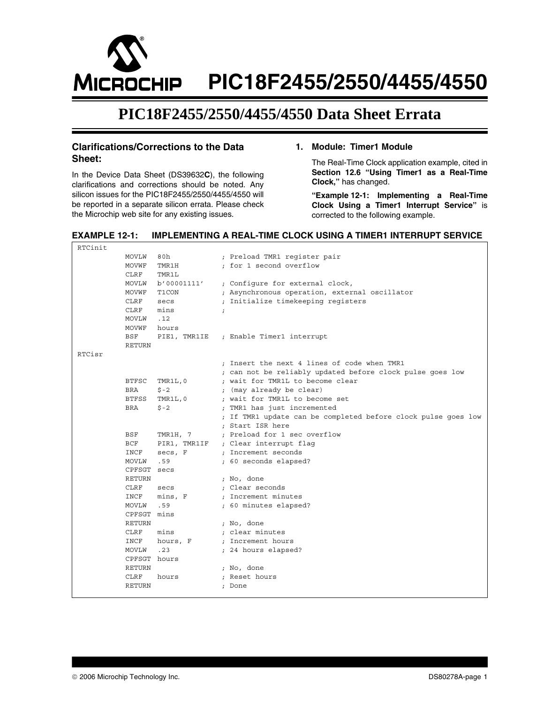**PIC18F2455/2550/4455/4550 AICROCHIP** 

# **PIC18F2455/2550/4455/4550 Data Sheet Errata**

## **Clarifications/Corrections to the Data Sheet:**

In the Device Data Sheet (DS39632**C**), the following clarifications and corrections should be noted. Any silicon issues for the PIC18F2455/2550/4455/4550 will be reported in a separate silicon errata. Please check the Microchip web site for any existing issues.

## **1. Module: Timer1 Module**

The Real-Time Clock application example, cited in **Section 12.6 "Using Timer1 as a Real-Time Clock,"** has changed.

**"Example 12-1: Implementing a Real-Time Clock Using a Timer1 Interrupt Service"** is corrected to the following example.

#### <span id="page-0-0"></span>**EXAMPLE 12-1: IMPLEMENTING A REAL-TIME CLOCK USING A TIMER1 INTERRUPT SERVICE**

| RTCinit |               |              |            |                                                               |
|---------|---------------|--------------|------------|---------------------------------------------------------------|
|         | MOVLW         | 80h          |            | ; Preload TMR1 register pair                                  |
|         | MOVWF         | TMR1H        |            | ; for 1 second overflow                                       |
|         | <b>CLRF</b>   | TMR1L        |            |                                                               |
|         | MOVLW         | b'00001111'  |            | ; Confiqure for external clock,                               |
|         | MOVWF         | T1CON        |            | ; Asynchronous operation, external oscillator                 |
|         | <b>CLRF</b>   | secs         |            | ; Initialize timekeeping registers                            |
|         | CLRF          | mins         | $\ddot{i}$ |                                                               |
|         | MOVLW         | .12          |            |                                                               |
|         | MOVWF         | hours        |            |                                                               |
|         | BSF           | PIE1, TMR1IE |            | ; Enable Timer1 interrupt                                     |
|         | RETURN        |              |            |                                                               |
| RTCisr  |               |              |            |                                                               |
|         |               |              |            | : Insert the next 4 lines of code when TMR1                   |
|         |               |              |            | ; can not be reliably updated before clock pulse goes low     |
|         | <b>BTFSC</b>  | TMR1L, 0     |            | ; wait for TMR1L to become clear                              |
|         | <b>BRA</b>    | $$ -2$       |            | ; (may already be clear)                                      |
|         | <b>BTFSS</b>  | TMR1L, 0     |            | ; wait for TMR1L to become set                                |
|         | <b>BRA</b>    | $$ -2$       |            | ; TMR1 has just incremented                                   |
|         |               |              |            | ; If TMR1 update can be completed before clock pulse goes low |
|         |               |              |            | : Start ISR here                                              |
|         | BSF           | TMR1H, 7     |            | ; Preload for 1 sec overflow                                  |
|         | BCF           | PIR1, TMR1IF |            | ; Clear interrupt flag                                        |
|         | INCF          | secs, F      |            | : Increment seconds                                           |
|         | MOVLW         | .59          |            | ; 60 seconds elapsed?                                         |
|         | CPFSGT secs   |              |            |                                                               |
|         | RETURN        |              |            | ; No, done                                                    |
|         | CLRF          | secs         |            | ; Clear seconds                                               |
|         | INCF          | mins, F      |            | ; Increment minutes                                           |
|         | MOVLW         | .59          |            | ; 60 minutes elapsed?                                         |
|         | CPFSGT mins   |              |            |                                                               |
|         | RETURN        |              |            | ; No, done                                                    |
|         | <b>CLRF</b>   | mins         |            | ; clear minutes                                               |
|         | INCF          | hours, F     |            | : Increment hours                                             |
|         | MOVLW         | .23          |            | ; 24 hours elapsed?                                           |
|         | CPFSGT hours  |              |            |                                                               |
|         | <b>RETURN</b> |              |            | ; No, done                                                    |
|         | <b>CLRF</b>   | hours        |            | : Reset hours                                                 |
|         | RETURN        |              |            | ; Done                                                        |
|         |               |              |            |                                                               |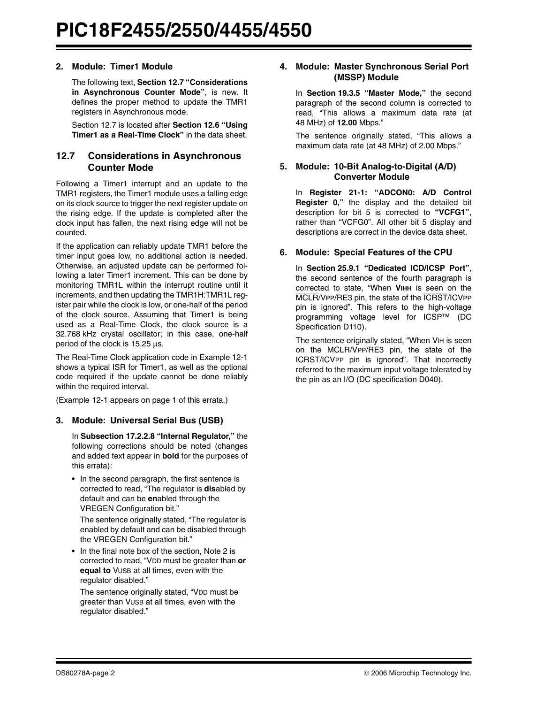## **2. Module: Timer1 Module**

The following text, **Section 12.7 "Considerations in Asynchronous Counter Mode"**, is new. It defines the proper method to update the TMR1 registers in Asynchronous mode.

Section 12.7 is located after **Section 12.6 "Using Timer1 as a Real-Time Clock"** in the data sheet.

# **12.7 Considerations in Asynchronous Counter Mode**

Following a Timer1 interrupt and an update to the TMR1 registers, the Timer1 module uses a falling edge on its clock source to trigger the next register update on the rising edge. If the update is completed after the clock input has fallen, the next rising edge will not be counted.

If the application can reliably update TMR1 before the timer input goes low, no additional action is needed. Otherwise, an adjusted update can be performed following a later Timer1 increment. This can be done by monitoring TMR1L within the interrupt routine until it increments, and then updating the TMR1H:TMR1L register pair while the clock is low, or one-half of the period of the clock source. Assuming that Timer1 is being used as a Real-Time Clock, the clock source is a 32.768 kHz crystal oscillator; in this case, one-half period of the clock is 15.25 μs.

The Real-Time Clock application code in [Example 12-1](#page-0-0) shows a typical ISR for Timer1, as well as the optional code required if the update cannot be done reliably within the required interval.

([Example 12-1](#page-0-0) appears on [page 1](#page-0-0) of this errata.)

#### **3. Module: Universal Serial Bus (USB)**

In **Subsection 17.2.2.8 "Internal Regulator,"** the following corrections should be noted (changes and added text appear in **bold** for the purposes of this errata):

• In the second paragraph, the first sentence is corrected to read, "The regulator is **dis**abled by default and can be **en**abled through the VREGEN Configuration bit."

The sentence originally stated, "The regulator is enabled by default and can be disabled through the VREGEN Configuration bit."

• In the final note box of the section, Note 2 is corrected to read, "VDD must be greater than **or equal to** VUSB at all times, even with the regulator disabled."

The sentence originally stated, "VDD must be greater than VUSB at all times, even with the regulator disabled."

## **4. Module: Master Synchronous Serial Port (MSSP) Module**

In **Section 19.3.5 "Master Mode,"** the second paragraph of the second column is corrected to read, "This allows a maximum data rate (at 48 MHz) of **12.00** Mbps."

The sentence originally stated, "This allows a maximum data rate (at 48 MHz) of 2.00 Mbps."

# **5. Module: 10-Bit Analog-to-Digital (A/D) Converter Module**

In **Register 21-1: "ADCON0: A/D Control Register 0,"** the display and the detailed bit description for bit 5 is corrected to **"VCFG1"**, rather than "VCFG0". All other bit 5 display and descriptions are correct in the device data sheet.

# **6. Module: Special Features of the CPU**

In **Section 25.9.1 "Dedicated ICD/ICSP Port"**, the second sentence of the fourth paragraph is corrected to state, "When **VIHH** is seen on the MCLR/VPP/RE3 pin, the state of the ICRST/ICVPP pin is ignored". This refers to the high-voltage programming voltage level for ICSP™ (DC Specification D110).

The sentence originally stated, "When VIH is seen on the MCLR/VPP/RE3 pin, the state of the ICRST/ICVPP pin is ignored". That incorrectly referred to the maximum input voltage tolerated by the pin as an I/O (DC specification D040).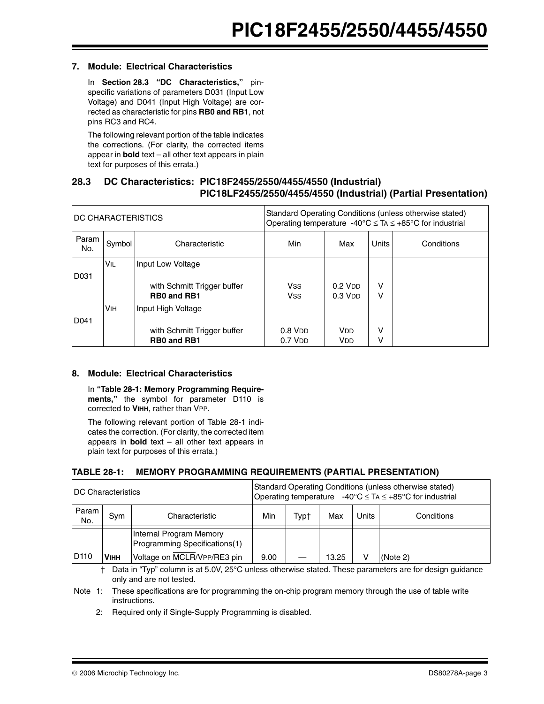## **7. Module: Electrical Characteristics**

In **Section 28.3 "DC Characteristics,"** pinspecific variations of parameters D031 (Input Low Voltage) and D041 (Input High Voltage) are corrected as characteristic for pins **RB0 and RB1**, not pins RC3 and RC4.

The following relevant portion of the table indicates the corrections. (For clarity, the corrected items appear in **bold** text – all other text appears in plain text for purposes of this errata.)

# **28.3 DC Characteristics: PIC18F2455/2550/4455/4550 (Industrial) PIC18LF2455/2550/4455/4550 (Industrial) (Partial Presentation)**

| <b>DC CHARACTERISTICS</b> |        |                                                                         | Standard Operating Conditions (unless otherwise stated)<br>Operating temperature -40 $\degree$ C $\leq$ TA $\leq$ +85 $\degree$ C for industrial |                                                |        |            |  |
|---------------------------|--------|-------------------------------------------------------------------------|--------------------------------------------------------------------------------------------------------------------------------------------------|------------------------------------------------|--------|------------|--|
| Param<br>No.              | Symbol | Characteristic                                                          | Min                                                                                                                                              | Max                                            | Units  | Conditions |  |
| D031                      | VIL    | Input Low Voltage                                                       |                                                                                                                                                  |                                                |        |            |  |
|                           | Vін    | with Schmitt Trigger buffer<br><b>RB0 and RB1</b><br>Input High Voltage | <b>Vss</b><br><b>Vss</b>                                                                                                                         | $0.2$ V <sub>DD</sub><br>$0.3$ V <sub>DD</sub> | v<br>v |            |  |
| D041                      |        | with Schmitt Trigger buffer<br><b>RB0 and RB1</b>                       | $0.8$ V <sub>DD</sub><br>$0.7$ V <sub>D</sub> <sub>D</sub>                                                                                       | <b>V<sub>DD</sub></b><br><b>V</b> <sub>D</sub> | v<br>٧ |            |  |

# **8. Module: Electrical Characteristics**

In **"Table 28-1: Memory Programming Requirements,"** the symbol for parameter D110 is corrected to **VIHH**, rather than VPP.

The following relevant portion of Table 28-1 indicates the correction. (For clarity, the corrected item appears in **bold** text – all other text appears in plain text for purposes of this errata.)

# **TABLE 28-1: MEMORY PROGRAMMING REQUIREMENTS (PARTIAL PRESENTATION)**

| <b>IDC Characteristics</b> |             |                                                          | Standard Operating Conditions (unless otherwise stated)<br>Operating temperature $-40^{\circ}C \leq TA \leq +85^{\circ}C$ for industrial |      |       |       |            |  |
|----------------------------|-------------|----------------------------------------------------------|------------------------------------------------------------------------------------------------------------------------------------------|------|-------|-------|------------|--|
| Param<br>No.               | Sym         | Characteristic                                           | Min                                                                                                                                      | Typ† | Max   | Units | Conditions |  |
|                            |             | Internal Program Memory<br>Programming Specifications(1) |                                                                                                                                          |      |       |       |            |  |
| D <sub>110</sub>           | <b>VIHH</b> | Voltage on MCLR/VPP/RE3 pin                              | 9.00                                                                                                                                     |      | 13.25 | v     | (Note 2)   |  |

† Data in "Typ" column is at 5.0V, 25°C unless otherwise stated. These parameters are for design guidance only and are not tested.

Note 1: These specifications are for programming the on-chip program memory through the use of table write instructions.

2: Required only if Single-Supply Programming is disabled.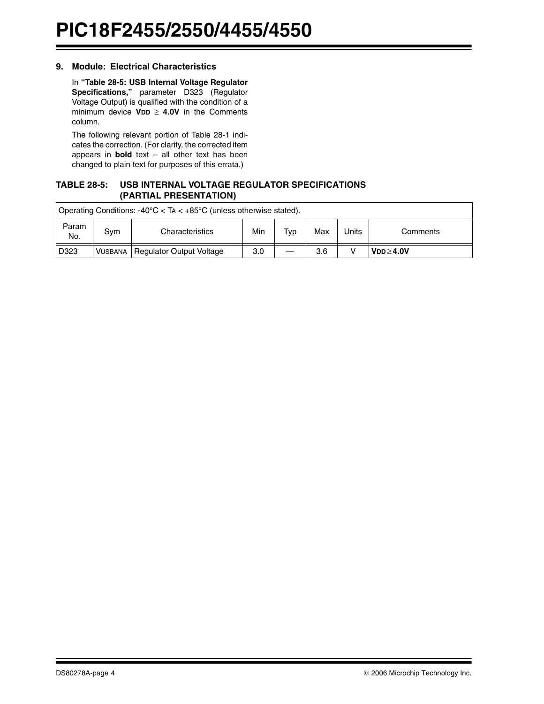### **9. Module: Electrical Characteristics**

In **"Table 28-5: USB Internal Voltage Regulator Specifications,"** parameter D323 (Regulator Voltage Output) is qualified with the condition of a minimum device **VDD** ≥ **4.0V** in the Comments column.

The following relevant portion of Table 28-1 indicates the correction. (For clarity, the corrected item appears in **bold** text – all other text has been changed to plain text for purposes of this errata.)

# **TABLE 28-5: USB INTERNAL VOLTAGE REGULATOR SPECIFICATIONS (PARTIAL PRESENTATION)**

| Operating Conditions: $-40^{\circ}$ C < TA < $+85^{\circ}$ C (unless otherwise stated). |                |                                 |     |     |     |       |                    |
|-----------------------------------------------------------------------------------------|----------------|---------------------------------|-----|-----|-----|-------|--------------------|
| Param<br>No.                                                                            | Svm            | Characteristics                 |     | Typ | Max | Units | Comments           |
| D323                                                                                    | <b>VUSBANA</b> | <b>Regulator Output Voltage</b> | 3.0 |     | 3.6 |       | $V$ DD $\geq$ 4.0V |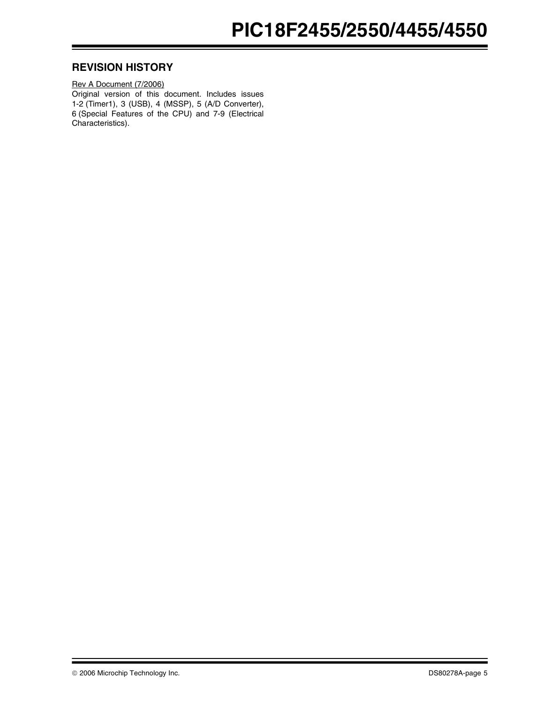# **REVISION HISTORY**

Rev A Document (7/2006) Original version of this document. Includes issues 1-2 (Timer1), 3 (USB), 4 (MSSP), 5 (A/D Converter), 6 (Special Features of the CPU) and 7-9 (Electrical Characteristics).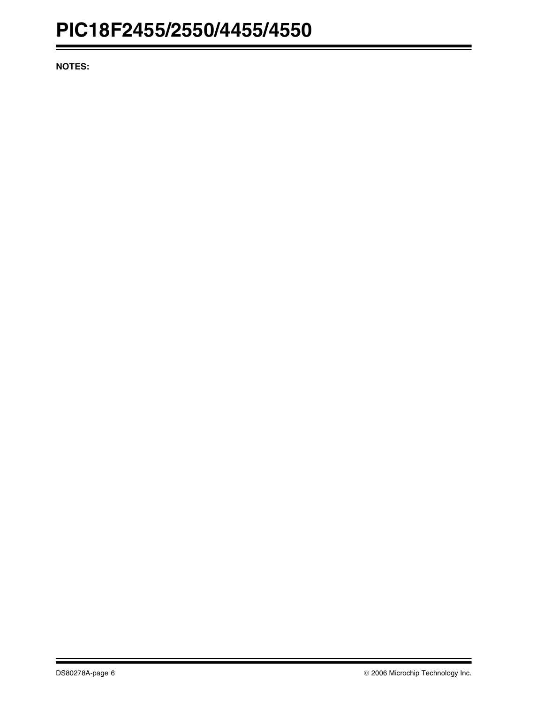**NOTES:**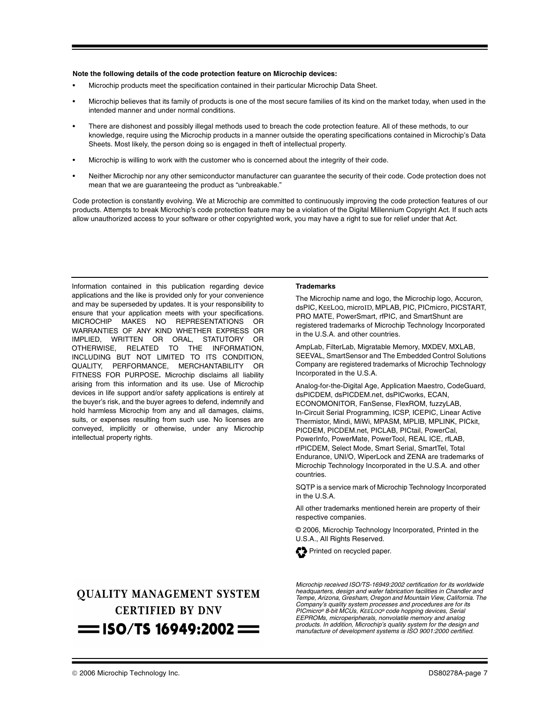#### **Note the following details of the code protection feature on Microchip devices:**

- Microchip products meet the specification contained in their particular Microchip Data Sheet.
- Microchip believes that its family of products is one of the most secure families of its kind on the market today, when used in the intended manner and under normal conditions.
- There are dishonest and possibly illegal methods used to breach the code protection feature. All of these methods, to our knowledge, require using the Microchip products in a manner outside the operating specifications contained in Microchip's Data Sheets. Most likely, the person doing so is engaged in theft of intellectual property.
- Microchip is willing to work with the customer who is concerned about the integrity of their code.
- Neither Microchip nor any other semiconductor manufacturer can guarantee the security of their code. Code protection does not mean that we are guaranteeing the product as "unbreakable."

Code protection is constantly evolving. We at Microchip are committed to continuously improving the code protection features of our products. Attempts to break Microchip's code protection feature may be a violation of the Digital Millennium Copyright Act. If such acts allow unauthorized access to your software or other copyrighted work, you may have a right to sue for relief under that Act.

Information contained in this publication regarding device applications and the like is provided only for your convenience and may be superseded by updates. It is your responsibility to ensure that your application meets with your specifications. MICROCHIP MAKES NO REPRESENTATIONS OR WARRANTIES OF ANY KIND WHETHER EXPRESS OR IMPLIED, WRITTEN OR ORAL, STATUTORY OR OTHERWISE, RELATED TO THE INFORMATION, INCLUDING BUT NOT LIMITED TO ITS CONDITION, QUALITY, PERFORMANCE, MERCHANTABILITY OR FITNESS FOR PURPOSE**.** Microchip disclaims all liability arising from this information and its use. Use of Microchip devices in life support and/or safety applications is entirely at the buyer's risk, and the buyer agrees to defend, indemnify and hold harmless Microchip from any and all damages, claims, suits, or expenses resulting from such use. No licenses are conveyed, implicitly or otherwise, under any Microchip intellectual property rights.

# **OUALITY MANAGEMENT SYSTEM CERTIFIED BY DNV**  $=$  ISO/TS 16949:2002  $=$

#### **Trademarks**

The Microchip name and logo, the Microchip logo, Accuron, dsPIC, KEELOQ, microID, MPLAB, PIC, PICmicro, PICSTART, PRO MATE, PowerSmart, rfPIC, and SmartShunt are registered trademarks of Microchip Technology Incorporated in the U.S.A. and other countries.

AmpLab, FilterLab, Migratable Memory, MXDEV, MXLAB, SEEVAL, SmartSensor and The Embedded Control Solutions Company are registered trademarks of Microchip Technology Incorporated in the U.S.A.

Analog-for-the-Digital Age, Application Maestro, CodeGuard, dsPICDEM, dsPICDEM.net, dsPICworks, ECAN, ECONOMONITOR, FanSense, FlexROM, fuzzyLAB, In-Circuit Serial Programming, ICSP, ICEPIC, Linear Active Thermistor, Mindi, MiWi, MPASM, MPLIB, MPLINK, PICkit, PICDEM, PICDEM.net, PICLAB, PICtail, PowerCal, PowerInfo, PowerMate, PowerTool, REAL ICE, rfLAB, rfPICDEM, Select Mode, Smart Serial, SmartTel, Total Endurance, UNI/O, WiperLock and ZENA are trademarks of Microchip Technology Incorporated in the U.S.A. and other countries.

SQTP is a service mark of Microchip Technology Incorporated in the U.S.A.

All other trademarks mentioned herein are property of their respective companies.

© 2006, Microchip Technology Incorporated, Printed in the U.S.A., All Rights Reserved.



Microchip received ISO/TS-16949:2002 certification for its worldwide

headquarters, design and wafer fabrication facilities in Chandler and Tempe, Arizona, Gresham, Oregon and Mountain View, California. The Company's quality system processes and procedures are for its PICmicro® 8-bit MCUs, KEELOQ® code hopping devices, Serial EEPROMs, microperipherals, nonvolatile memory and analog products. In addition, Microchip's quality system for the design and manufacture of development systems is ISO 9001:2000 certified.